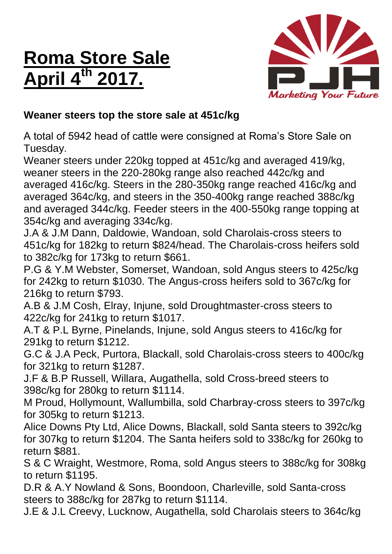## **Roma Store Sale April 4th 2017.**



## **Weaner steers top the store sale at 451c/kg**

A total of 5942 head of cattle were consigned at Roma's Store Sale on Tuesday.

Weaner steers under 220kg topped at 451c/kg and averaged 419/kg, weaner steers in the 220-280kg range also reached 442c/kg and averaged 416c/kg. Steers in the 280-350kg range reached 416c/kg and averaged 364c/kg, and steers in the 350-400kg range reached 388c/kg and averaged 344c/kg. Feeder steers in the 400-550kg range topping at 354c/kg and averaging 334c/kg.

J.A & J.M Dann, Daldowie, Wandoan, sold Charolais-cross steers to 451c/kg for 182kg to return \$824/head. The Charolais-cross heifers sold to 382c/kg for 173kg to return \$661.

P.G & Y.M Webster, Somerset, Wandoan, sold Angus steers to 425c/kg for 242kg to return \$1030. The Angus-cross heifers sold to 367c/kg for 216kg to return \$793.

A.B & J.M Cosh, Elray, Injune, sold Droughtmaster-cross steers to 422c/kg for 241kg to return \$1017.

A.T & P.L Byrne, Pinelands, Injune, sold Angus steers to 416c/kg for 291kg to return \$1212.

G.C & J.A Peck, Purtora, Blackall, sold Charolais-cross steers to 400c/kg for 321kg to return \$1287.

J.F & B.P Russell, Willara, Augathella, sold Cross-breed steers to 398c/kg for 280kg to return \$1114.

M Proud, Hollymount, Wallumbilla, sold Charbray-cross steers to 397c/kg for 305kg to return \$1213.

Alice Downs Pty Ltd, Alice Downs, Blackall, sold Santa steers to 392c/kg for 307kg to return \$1204. The Santa heifers sold to 338c/kg for 260kg to return \$881.

S & C Wraight, Westmore, Roma, sold Angus steers to 388c/kg for 308kg to return \$1195.

D.R & A.Y Nowland & Sons, Boondoon, Charleville, sold Santa-cross steers to 388c/kg for 287kg to return \$1114.

J.E & J.L Creevy, Lucknow, Augathella, sold Charolais steers to 364c/kg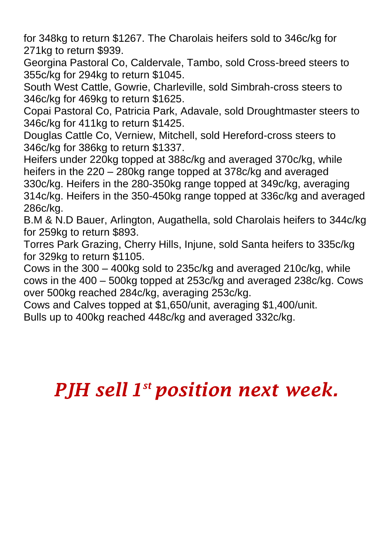for 348kg to return \$1267. The Charolais heifers sold to 346c/kg for 271kg to return \$939.

Georgina Pastoral Co, Caldervale, Tambo, sold Cross-breed steers to 355c/kg for 294kg to return \$1045.

South West Cattle, Gowrie, Charleville, sold Simbrah-cross steers to 346c/kg for 469kg to return \$1625.

Copai Pastoral Co, Patricia Park, Adavale, sold Droughtmaster steers to 346c/kg for 411kg to return \$1425.

Douglas Cattle Co, Verniew, Mitchell, sold Hereford-cross steers to 346c/kg for 386kg to return \$1337.

Heifers under 220kg topped at 388c/kg and averaged 370c/kg, while heifers in the 220 – 280kg range topped at 378c/kg and averaged 330c/kg. Heifers in the 280-350kg range topped at 349c/kg, averaging 314c/kg. Heifers in the 350-450kg range topped at 336c/kg and averaged 286c/kg.

B.M & N.D Bauer, Arlington, Augathella, sold Charolais heifers to 344c/kg for 259kg to return \$893.

Torres Park Grazing, Cherry Hills, Injune, sold Santa heifers to 335c/kg for 329kg to return \$1105.

Cows in the 300 – 400kg sold to 235c/kg and averaged 210c/kg, while cows in the 400 – 500kg topped at 253c/kg and averaged 238c/kg. Cows over 500kg reached 284c/kg, averaging 253c/kg.

Cows and Calves topped at \$1,650/unit, averaging \$1,400/unit.

Bulls up to 400kg reached 448c/kg and averaged 332c/kg.

## *PJH sell 1 st position next week.*